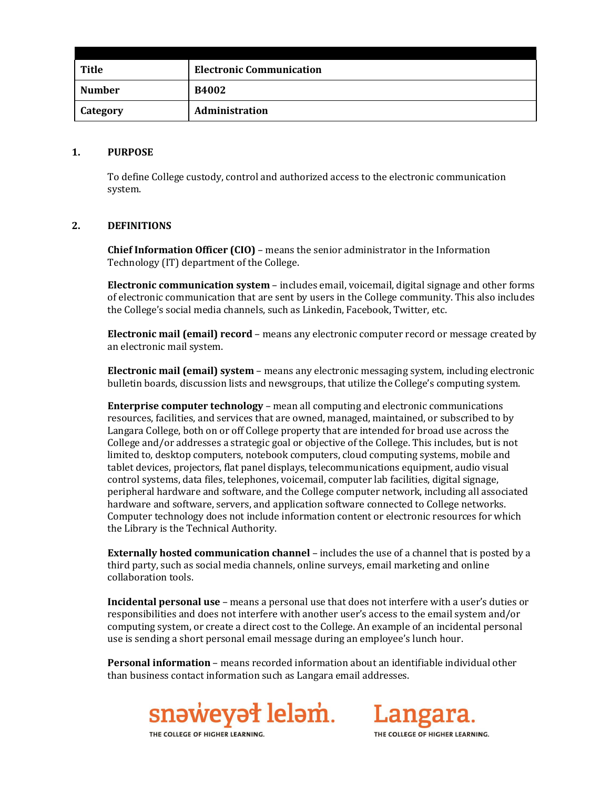| <b>Title</b>  | <b>Electronic Communication</b> |
|---------------|---------------------------------|
| <b>Number</b> | <b>B4002</b>                    |
| Category      | <b>Administration</b>           |

#### **1. PURPOSE**

To define College custody, control and authorized access to the electronic communication system.

# **2. DEFINITIONS**

**Chief Information Officer (CIO)** – means the senior administrator in the Information Technology (IT) department of the College.

**Electronic communication system** – includes email, voicemail, digital signage and other forms of electronic communication that are sent by users in the College community. This also includes the College's social media channels, such as Linkedin, Facebook, Twitter, etc.

**Electronic mail (email) record** – means any electronic computer record or message created by an electronic mail system.

**Electronic mail (email) system** – means any electronic messaging system, including electronic bulletin boards, discussion lists and newsgroups, that utilize the College's computing system.

**Enterprise computer technology** – mean all computing and electronic communications resources, facilities, and services that are owned, managed, maintained, or subscribed to by Langara College, both on or off College property that are intended for broad use across the College and/or addresses a strategic goal or objective of the College. This includes, but is not limited to, desktop computers, notebook computers, cloud computing systems, mobile and tablet devices, projectors, flat panel displays, telecommunications equipment, audio visual control systems, data files, telephones, voicemail, computer lab facilities, digital signage, peripheral hardware and software, and the College computer network, including all associated hardware and software, servers, and application software connected to College networks. Computer technology does not include information content or electronic resources for which the Library is the Technical Authority.

**Externally hosted communication channel** – includes the use of a channel that is posted by a third party, such as social media channels, online surveys, email marketing and online collaboration tools.

**Incidental personal use** – means a personal use that does not interfere with a user's duties or responsibilities and does not interfere with another user's access to the email system and/or computing system, or create a direct cost to the College. An example of an incidental personal use is sending a short personal email message during an employee's lunch hour.

**Personal information** – means recorded information about an identifiable individual other than business contact information such as Langara email addresses.



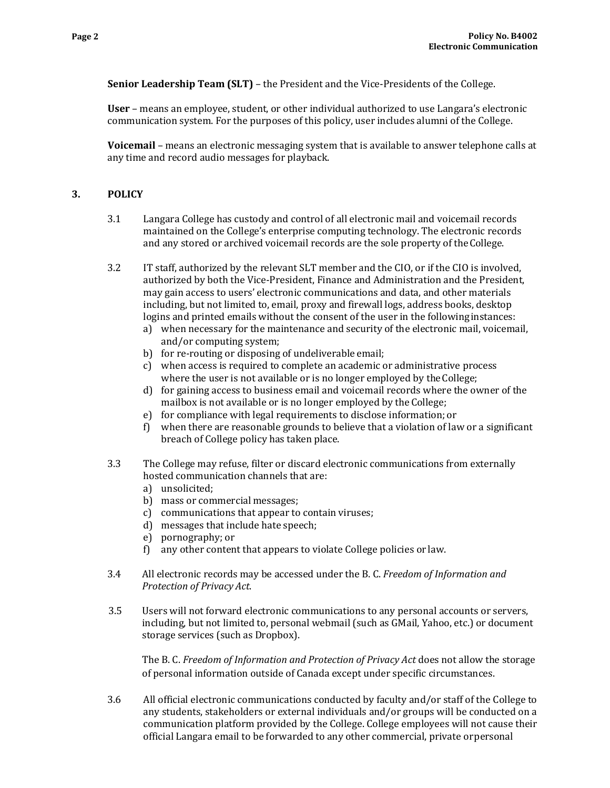**Senior Leadership Team (SLT)** – the President and the Vice-Presidents of the College.

**User** – means an employee, student, or other individual authorized to use Langara's electronic communication system. For the purposes of this policy, user includes alumni of the College.

**Voicemail** – means an electronic messaging system that is available to answer telephone calls at any time and record audio messages for playback.

# **3. POLICY**

- 3.1 Langara College has custody and control of all electronic mail and voicemail records maintained on the College's enterprise computing technology. The electronic records and any stored or archived voicemail records are the sole property of theCollege.
- 3.2 IT staff, authorized by the relevant SLT member and the CIO, or if the CIO is involved, authorized by both the Vice-President, Finance and Administration and the President, may gain access to users' electronic communications and data, and other materials including, but not limited to, email, proxy and firewall logs, address books, desktop logins and printed emails without the consent of the user in the followinginstances:
	- a) when necessary for the maintenance and security of the electronic mail, voicemail, and/or computing system;
	- b) for re-routing or disposing of undeliverable email;
	- c) when access is required to complete an academic or administrative process where the user is not available or is no longer employed by the College;
	- d) for gaining access to business email and voicemail records where the owner of the mailbox is not available or is no longer employed by the College;
	- e) for compliance with legal requirements to disclose information; or
	- f) when there are reasonable grounds to believe that a violation of law or a significant breach of College policy has taken place.
- 3.3 The College may refuse, filter or discard electronic communications from externally hosted communication channels that are:
	- a) unsolicited;
	- b) mass or commercial messages;
	- c) communications that appear to contain viruses;
	- d) messages that include hate speech;
	- e) pornography; or
	- f) any other content that appears to violate College policies or law.
- 3.4 All electronic records may be accessed under the B. C. *Freedom of Information and Protection of Privacy Act*.
- 3.5 Users will not forward electronic communications to any personal accounts or servers, including, but not limited to, personal webmail (such as GMail, Yahoo, etc.) or document storage services (such as Dropbox).

The B. C. *Freedom of Information and Protection of Privacy Act* does not allow the storage of personal information outside of Canada except under specific circumstances.

3.6 All official electronic communications conducted by faculty and/or staff of the College to any students, stakeholders or external individuals and/or groups will be conducted on a communication platform provided by the College. College employees will not cause their official Langara email to be forwarded to any other commercial, private orpersonal